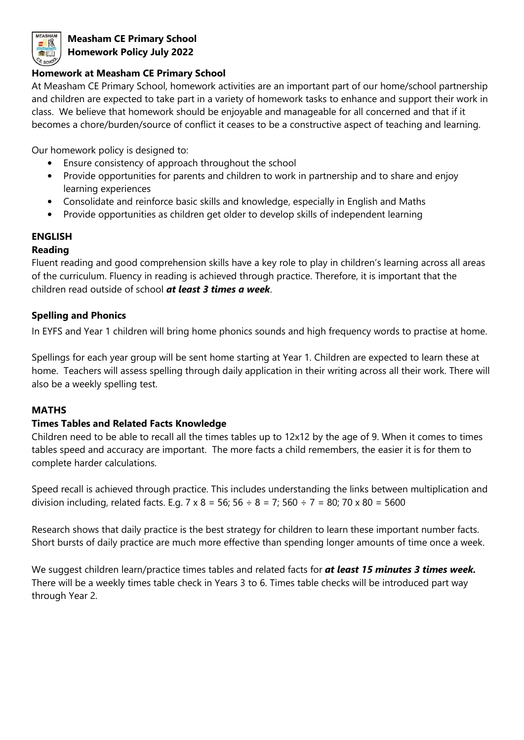

# **Measham CE Primary School Homework Policy July 2022**

#### **Homework at Measham CE Primary School**

At Measham CE Primary School, homework activities are an important part of our home/school partnership and children are expected to take part in a variety of homework tasks to enhance and support their work in class. We believe that homework should be enjoyable and manageable for all concerned and that if it becomes a chore/burden/source of conflict it ceases to be a constructive aspect of teaching and learning.

Our homework policy is designed to:

- Ensure consistency of approach throughout the school
- Provide opportunities for parents and children to work in partnership and to share and enjoy learning experiences
- Consolidate and reinforce basic skills and knowledge, especially in English and Maths
- Provide opportunities as children get older to develop skills of independent learning

### **ENGLISH**

### **Reading**

Fluent reading and good comprehension skills have a key role to play in children's learning across all areas of the curriculum. Fluency in reading is achieved through practice. Therefore, it is important that the children read outside of school *at least 3 times a week*.

## **Spelling and Phonics**

In EYFS and Year 1 children will bring home phonics sounds and high frequency words to practise at home.

Spellings for each year group will be sent home starting at Year 1. Children are expected to learn these at home. Teachers will assess spelling through daily application in their writing across all their work. There will also be a weekly spelling test.

### **MATHS**

### **Times Tables and Related Facts Knowledge**

Children need to be able to recall all the times tables up to 12x12 by the age of 9. When it comes to times tables speed and accuracy are important. The more facts a child remembers, the easier it is for them to complete harder calculations.

Speed recall is achieved through practice. This includes understanding the links between multiplication and division including, related facts. E.g.  $7 \times 8 = 56$ ;  $56 \div 8 = 7$ ;  $560 \div 7 = 80$ ;  $70 \times 80 = 5600$ 

Research shows that daily practice is the best strategy for children to learn these important number facts. Short bursts of daily practice are much more effective than spending longer amounts of time once a week.

We suggest children learn/practice times tables and related facts for *at least 15 minutes 3 times week.* There will be a weekly times table check in Years 3 to 6. Times table checks will be introduced part way through Year 2.